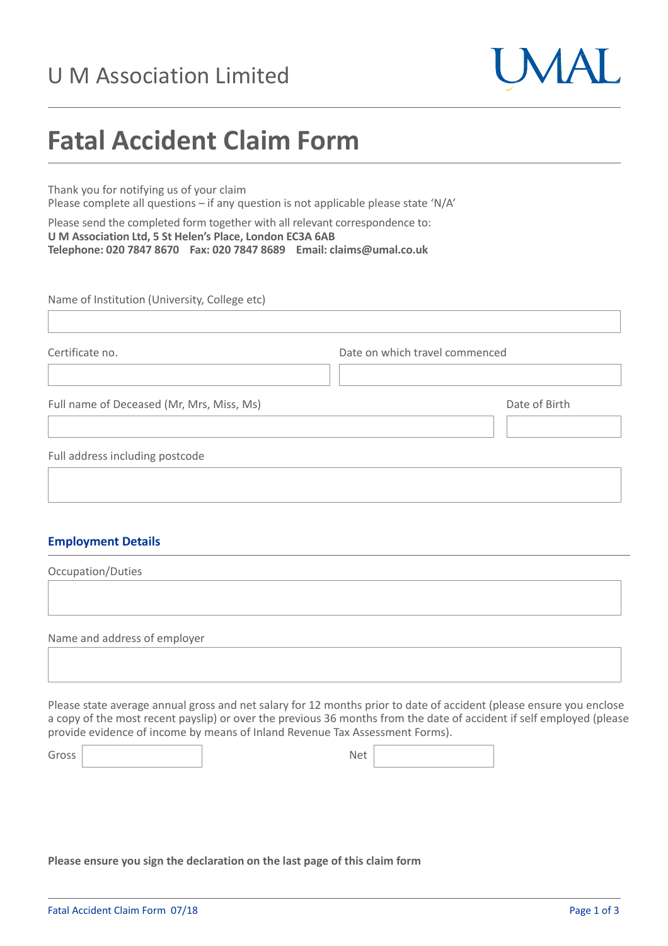# U M Association Limited



# **Fatal Accident Claim Form**

Thank you for notifying us of your claim Please complete all questions – if any question is not applicable please state 'N/A'

Please send the completed form together with all relevant correspondence to: **U M Association Ltd, 5 St Helen's Place, London EC3A 6AB Telephone: 020 7847 8670 Fax: 020 7847 8689 Email: claims@umal.co.uk**

Name of Institution (University, College etc)

| Certificate no.                           | Date on which travel commenced |               |
|-------------------------------------------|--------------------------------|---------------|
| Full name of Deceased (Mr, Mrs, Miss, Ms) |                                | Date of Birth |
| Full address including postcode           |                                |               |

## **Employment Details**

Occupation/Duties

Name and address of employer

Please state average annual gross and net salary for 12 months prior to date of accident (please ensure you enclose a copy of the most recent payslip) or over the previous 36 months from the date of accident if self employed (please provide evidence of income by means of Inland Revenue Tax Assessment Forms).

Gross Net

**Please ensure you sign the declaration on the last page of this claim form**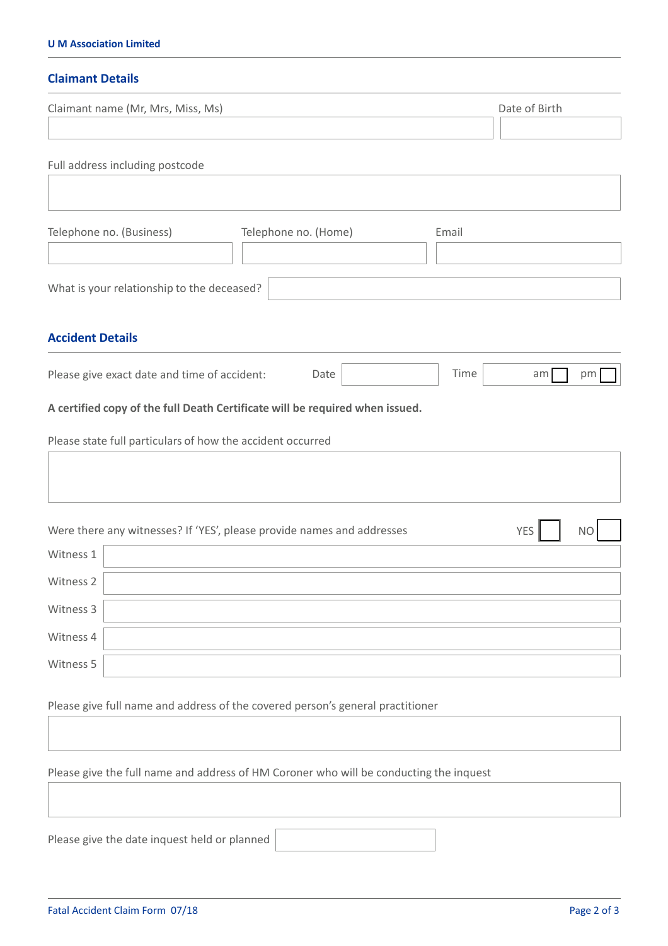#### **U M Association Limited**

## **Claimant Details**

| Claimant name (Mr, Mrs, Miss, Ms)                                                                                                          | Date of Birth           |
|--------------------------------------------------------------------------------------------------------------------------------------------|-------------------------|
| Full address including postcode                                                                                                            |                         |
| Telephone no. (Business)<br>Telephone no. (Home)<br>Email                                                                                  |                         |
| What is your relationship to the deceased?                                                                                                 |                         |
| <b>Accident Details</b>                                                                                                                    |                         |
| Time<br>Please give exact date and time of accident:<br>Date                                                                               | am<br>pm                |
| A certified copy of the full Death Certificate will be required when issued.<br>Please state full particulars of how the accident occurred |                         |
| Were there any witnesses? If 'YES', please provide names and addresses                                                                     | <b>YES</b><br><b>NO</b> |
| Witness 1                                                                                                                                  |                         |
| Witness 2                                                                                                                                  |                         |
| Witness 3                                                                                                                                  |                         |
| Witness 4                                                                                                                                  |                         |
| Witness 5                                                                                                                                  |                         |
| Please give full name and address of the covered person's general practitioner                                                             |                         |
| Please give the full name and address of HM Coroner who will be conducting the inquest                                                     |                         |

Please give the date inquest held or planned